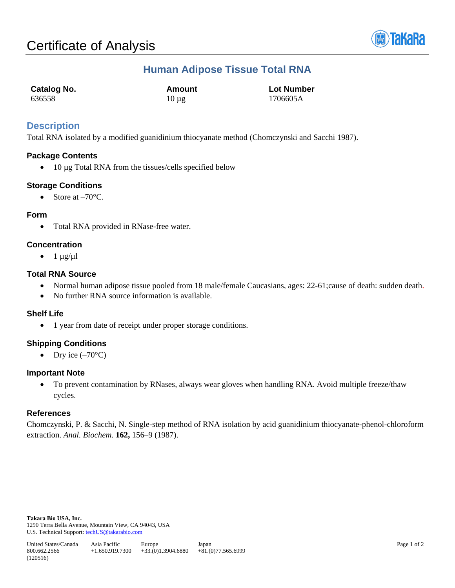

# **Human Adipose Tissue Total RNA**

| Catalog No. | Amount     | <b>Lot Number</b> |
|-------------|------------|-------------------|
| 636558      | $10 \mu$ g | 1706605A          |

## **Description**

Total RNA isolated by a modified guanidinium thiocyanate method (Chomczynski and Sacchi 1987).

## **Package Contents**

• 10 µg Total RNA from the tissues/cells specified below

## **Storage Conditions**

• Store at  $-70^{\circ}$ C.

#### **Form**

• Total RNA provided in RNase-free water.

#### **Concentration**

•  $1 \mu g/\mu l$ 

#### **Total RNA Source**

- Normal human adipose tissue pooled from 18 male/female Caucasians, ages: 22-61;cause of death: sudden death.
- No further RNA source information is available.

#### **Shelf Life**

• 1 year from date of receipt under proper storage conditions.

## **Shipping Conditions**

• Dry ice  $(-70^{\circ}C)$ 

#### **Important Note**

• To prevent contamination by RNases, always wear gloves when handling RNA. Avoid multiple freeze/thaw cycles.

#### **References**

Chomczynski, P. & Sacchi, N. Single-step method of RNA isolation by acid guanidinium thiocyanate-phenol-chloroform extraction. *Anal. Biochem.* **162,** 156–9 (1987).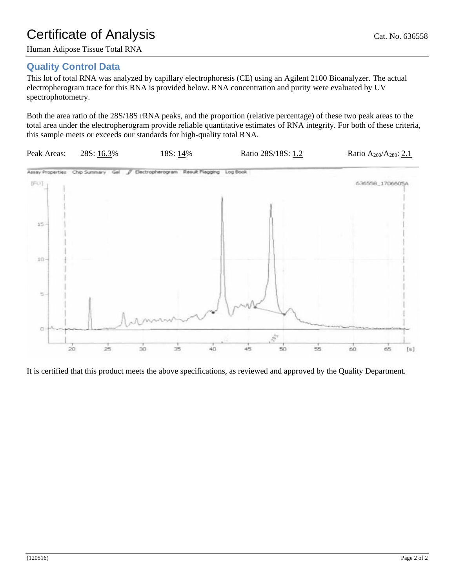# Certificate of Analysis Cat. No. 636558

Human Adipose Tissue Total RNA

# **Quality Control Data**

This lot of total RNA was analyzed by capillary electrophoresis (CE) using an Agilent 2100 Bioanalyzer. The actual electropherogram trace for this RNA is provided below. RNA concentration and purity were evaluated by UV spectrophotometry.

Both the area ratio of the 28S/18S rRNA peaks, and the proportion (relative percentage) of these two peak areas to the total area under the electropherogram provide reliable quantitative estimates of RNA integrity. For both of these criteria, this sample meets or exceeds our standards for high-quality total RNA.



It is certified that this product meets the above specifications, as reviewed and approved by the Quality Department.